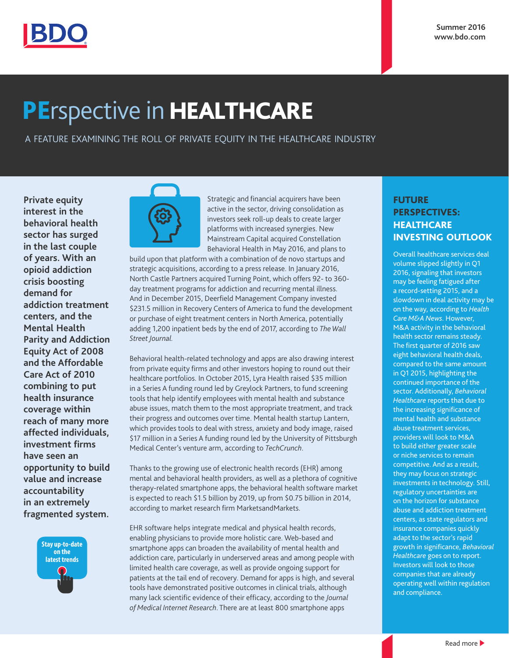

# PErspective in HEALTHCARE

A FEATURE EXAMINING THE ROLL OF PRIVATE EQUITY IN THE HEALTHCARE INDUSTRY

**Private equity interest in the behavioral health sector has surged in the last couple of years. With an opioid addiction crisis boosting demand for addiction treatment centers, and the Mental Health Parity and Addiction Equity Act of 2008 and the Affordable Care Act of 2010 combining to put health insurance coverage within reach of many more affected individuals, investment firms have seen an opportunity to build value and increase accountability in an extremely fragmented system.** 





Strategic and financial acquirers have been active in the sector, driving consolidation as investors seek roll-up deals to create larger platforms with increased synergies. New Mainstream Capital acquired Constellation Behavioral Health in May 2016, and plans to

build upon that platform with a combination of de novo startups and strategic acquisitions, according to a press release. In January 2016, North Castle Partners acquired Turning Point, which offers 92- to 360 day treatment programs for addiction and recurring mental illness. And in December 2015, Deerfield Management Company invested \$231.5 million in Recovery Centers of America to fund the development or purchase of eight treatment centers in North America, potentially adding 1,200 inpatient beds by the end of 2017, according to *The Wall Street Journal.* 

Behavioral health-related technology and apps are also drawing interest from private equity firms and other investors hoping to round out their healthcare portfolios. In October 2015, Lyra Health raised \$35 million in a Series A funding round led by Greylock Partners, to fund screening tools that help identify employees with mental health and substance abuse issues, match them to the most appropriate treatment, and track their progress and outcomes over time. Mental health startup Lantern, which provides tools to deal with stress, anxiety and body image, raised \$17 million in a Series A funding round led by the University of Pittsburgh Medical Center's venture arm, according to *TechCrunch*.

Thanks to the growing use of electronic health records (EHR) among mental and behavioral health providers, as well as a plethora of cognitive therapy-related smartphone apps, the behavioral health software market is expected to reach \$1.5 billion by 2019, up from \$0.75 billion in 2014, according to market research firm MarketsandMarkets.

EHR software helps integrate medical and physical health records, enabling physicians to provide more holistic care. Web-based and smartphone apps can broaden the availability of mental health and addiction care, particularly in underserved areas and among people with limited health care coverage, as well as provide ongoing support for patients at the tail end of recovery. Demand for apps is high, and several tools have demonstrated positive outcomes in clinical trials, although many lack scientific evidence of their efficacy, according to the *Journal of Medical Internet Research*. There are at least 800 smartphone apps

## FUTURE PERSPECTIVES: **HEALTHCARE** INVESTING OUTLOOK

Overall healthcare services deal volume slipped slightly in Q1 2016, signaling that investors may be feeling fatigued after a record-setting 2015, and a slowdown in deal activity may be on the way, according to *Health Care M&A News*. However, M&A activity in the behavioral health sector remains steady. The first quarter of 2016 saw eight behavioral health deals, compared to the same amount in Q1 2015, highlighting the continued importance of the sector. Additionally, *Behavioral Healthcare* reports that due to the increasing significance of mental health and substance abuse treatment services, providers will look to M&A to build either greater scale or niche services to remain competitive. And as a result, they may focus on strategic investments in technology. Still, regulatory uncertainties are on the horizon for substance abuse and addiction treatment centers, as state regulators and insurance companies quickly adapt to the sector's rapid growth in significance, *Behavioral Healthcare* goes on to report. Investors will look to those companies that are already operating well within regulation and compliance.